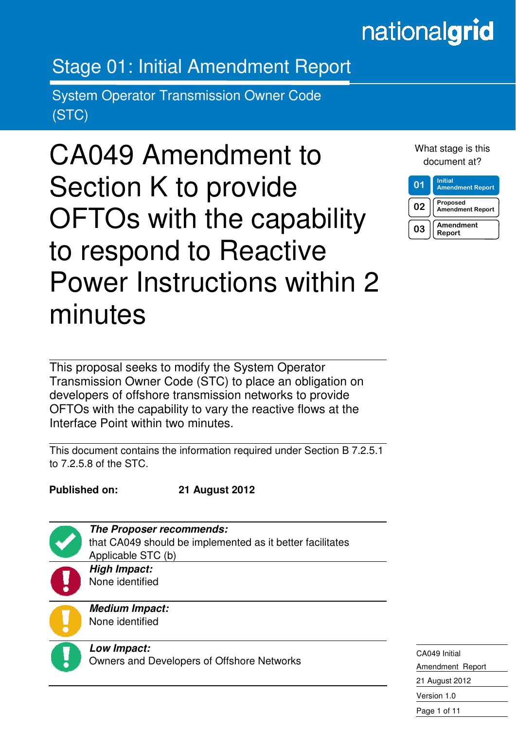# nationalgrid

# Stage 01: Initial Amendment Report

System Operator Transmission Owner Code (STC)

CA049 Amendment to Section K to provide OFTOs with the capability to respond to Reactive Power Instructions within 2 minutes

What stage is this document at?

| 01 | <b>Initial</b><br><b>Amendment Report</b> |
|----|-------------------------------------------|
| 02 | Proposed<br><b>Amendment Report</b>       |
| 03 | Amendment<br>Report                       |

This proposal seeks to modify the System Operator Transmission Owner Code (STC) to place an obligation on developers of offshore transmission networks to provide OFTOs with the capability to vary the reactive flows at the Interface Point within two minutes.

This document contains the information required under Section B 7.2.5.1 to 7.2.5.8 of the STC.

**Published on: 21 August 2012** 



in the contract of the contract of the contract of the contract of the contract of the contract of the contract of the contract of the contract of the contract of the contract of the contract of the contract of the contrac

**The Proposer recommends:**  that CA049 should be implemented as it better facilitates Applicable STC (b)

**High Impact:**  None identified

**Medium Impact:**  None identified



**Low Impact:**  Owners and Developers of Offshore Networks

CA049 Initial Amendment Report 21 August 2012 Version 1.0 Page 1 of 11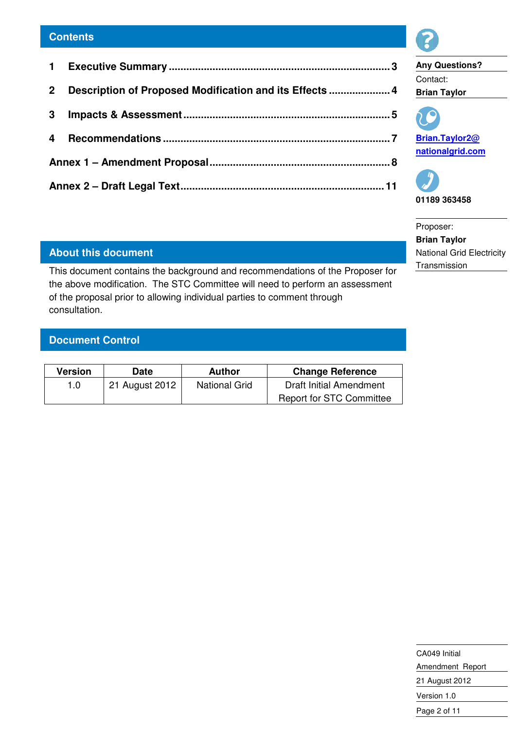| 2 <sup>1</sup><br>3 <sup>1</sup> |                                                         |
|----------------------------------|---------------------------------------------------------|
|                                  | Description of Proposed Modification and its Effects  4 |
|                                  |                                                         |
|                                  |                                                         |
|                                  |                                                         |
|                                  |                                                         |

# **About this document**

This document contains the background and recommendations of the Proposer for the above modification. The STC Committee will need to perform an assessment of the proposal prior to allowing individual parties to comment through consultation.

# **Document Control**

| Version | Date           | Author               | <b>Change Reference</b>         |
|---------|----------------|----------------------|---------------------------------|
| 1.0     | 21 August 2012 | <b>National Grid</b> | Draft Initial Amendment         |
|         |                |                      | <b>Report for STC Committee</b> |



21 August 2012 Version 1.0 Page 2 of 11

**Any Questions?**  Contact: **Brian Taylor** 



**Brian.Taylor2@ nationalgrid.com**



Proposer: **Brian Taylor**  National Grid Electricity **Transmission**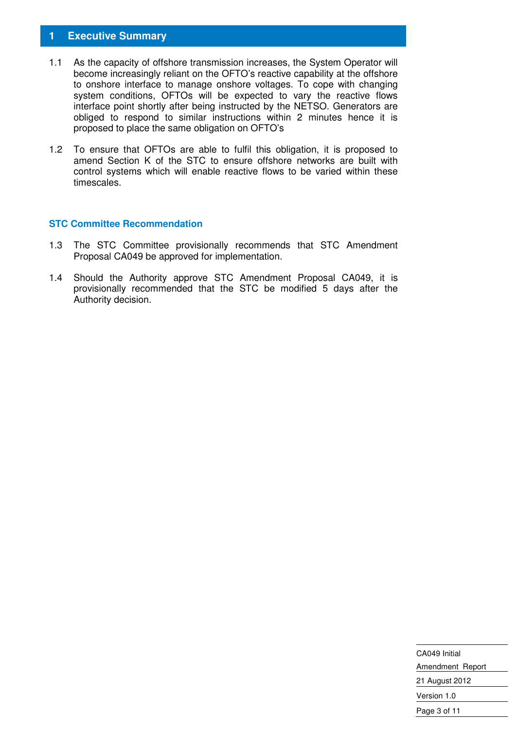# **1 Executive Summary**

- 1.1 As the capacity of offshore transmission increases, the System Operator will become increasingly reliant on the OFTO's reactive capability at the offshore to onshore interface to manage onshore voltages. To cope with changing system conditions, OFTOs will be expected to vary the reactive flows interface point shortly after being instructed by the NETSO. Generators are obliged to respond to similar instructions within 2 minutes hence it is proposed to place the same obligation on OFTO's
- 1.2 To ensure that OFTOs are able to fulfil this obligation, it is proposed to amend Section K of the STC to ensure offshore networks are built with control systems which will enable reactive flows to be varied within these timescales.

#### **STC Committee Recommendation**

- 1.3 The STC Committee provisionally recommends that STC Amendment Proposal CA049 be approved for implementation.
- 1.4 Should the Authority approve STC Amendment Proposal CA049, it is provisionally recommended that the STC be modified 5 days after the Authority decision.

| CA049 Initial    |  |
|------------------|--|
| Amendment Report |  |
| 21 August 2012   |  |
| Version 1.0      |  |
| Page 3 of 11     |  |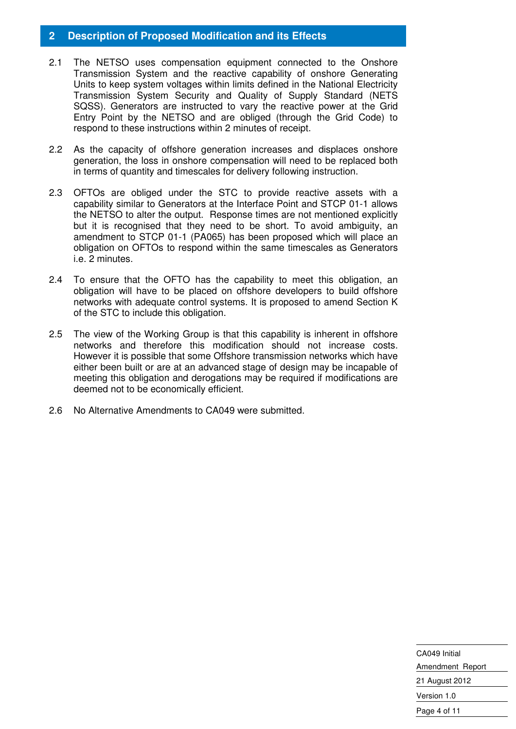# **2 Description of Proposed Modification and its Effects**

- 2.1 The NETSO uses compensation equipment connected to the Onshore Transmission System and the reactive capability of onshore Generating Units to keep system voltages within limits defined in the National Electricity Transmission System Security and Quality of Supply Standard (NETS SQSS). Generators are instructed to vary the reactive power at the Grid Entry Point by the NETSO and are obliged (through the Grid Code) to respond to these instructions within 2 minutes of receipt.
- 2.2 As the capacity of offshore generation increases and displaces onshore generation, the loss in onshore compensation will need to be replaced both in terms of quantity and timescales for delivery following instruction.
- 2.3 OFTOs are obliged under the STC to provide reactive assets with a capability similar to Generators at the Interface Point and STCP 01-1 allows the NETSO to alter the output. Response times are not mentioned explicitly but it is recognised that they need to be short. To avoid ambiguity, an amendment to STCP 01-1 (PA065) has been proposed which will place an obligation on OFTOs to respond within the same timescales as Generators i.e. 2 minutes.
- 2.4 To ensure that the OFTO has the capability to meet this obligation, an obligation will have to be placed on offshore developers to build offshore networks with adequate control systems. It is proposed to amend Section K of the STC to include this obligation.
- 2.5 The view of the Working Group is that this capability is inherent in offshore networks and therefore this modification should not increase costs. However it is possible that some Offshore transmission networks which have either been built or are at an advanced stage of design may be incapable of meeting this obligation and derogations may be required if modifications are deemed not to be economically efficient.
- 2.6 No Alternative Amendments to CA049 were submitted.

CA049 Initial Amendment Report 21 August 2012 Version 1.0 Page 4 of 11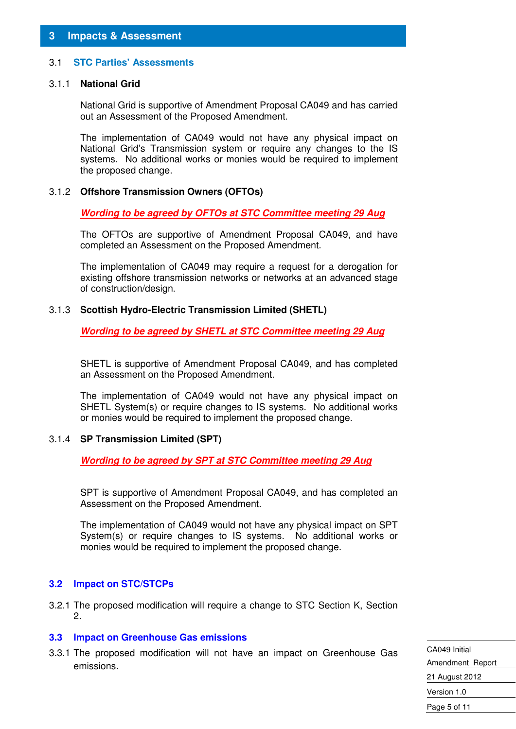# **3 Impacts & Assessment**

#### 3.1 **STC Parties' Assessments**

#### 3.1.1 **National Grid**

National Grid is supportive of Amendment Proposal CA049 and has carried out an Assessment of the Proposed Amendment.

The implementation of CA049 would not have any physical impact on National Grid's Transmission system or require any changes to the IS systems. No additional works or monies would be required to implement the proposed change.

#### 3.1.2 **Offshore Transmission Owners (OFTOs)**

 **Wording to be agreed by OFTOs at STC Committee meeting 29 Aug**

 The OFTOs are supportive of Amendment Proposal CA049, and have completed an Assessment on the Proposed Amendment.

 The implementation of CA049 may require a request for a derogation for existing offshore transmission networks or networks at an advanced stage of construction/design.

#### 3.1.3 **Scottish Hydro-Electric Transmission Limited (SHETL)**

**Wording to be agreed by SHETL at STC Committee meeting 29 Aug**

 SHETL is supportive of Amendment Proposal CA049, and has completed an Assessment on the Proposed Amendment.

 The implementation of CA049 would not have any physical impact on SHETL System(s) or require changes to IS systems. No additional works or monies would be required to implement the proposed change.

#### 3.1.4 **SP Transmission Limited (SPT)**

**Wording to be agreed by SPT at STC Committee meeting 29 Aug**

 SPT is supportive of Amendment Proposal CA049, and has completed an Assessment on the Proposed Amendment.

 The implementation of CA049 would not have any physical impact on SPT System(s) or require changes to IS systems. No additional works or monies would be required to implement the proposed change.

#### **3.2 Impact on STC/STCPs**

3.2.1 The proposed modification will require a change to STC Section K, Section 2.

#### **3.3 Impact on Greenhouse Gas emissions**

3.3.1 The proposed modification will not have an impact on Greenhouse Gas emissions.

CA049 Initial Amendment Report 21 August 2012 Version 1.0 Page 5 of 11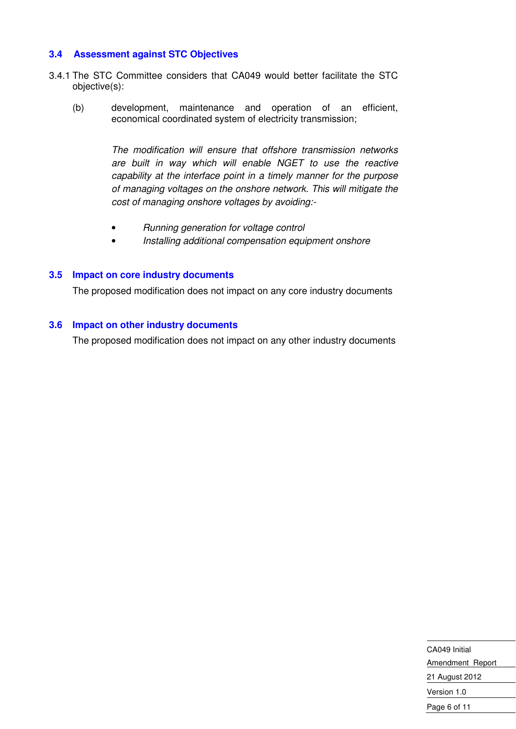## **3.4 Assessment against STC Objectives**

- 3.4.1 The STC Committee considers that CA049 would better facilitate the STC objective(s):
	- (b) development, maintenance and operation of an efficient, economical coordinated system of electricity transmission;

The modification will ensure that offshore transmission networks are built in way which will enable NGET to use the reactive capability at the interface point in a timely manner for the purpose of managing voltages on the onshore network. This will mitigate the cost of managing onshore voltages by avoiding:-

- Running generation for voltage control
- Installing additional compensation equipment onshore

#### **3.5 Impact on core industry documents**

The proposed modification does not impact on any core industry documents

## **3.6 Impact on other industry documents**

The proposed modification does not impact on any other industry documents

| CA049 Initial    |  |
|------------------|--|
| Amendment Report |  |
| 21 August 2012   |  |
| Version 1.0      |  |
| Page 6 of 11     |  |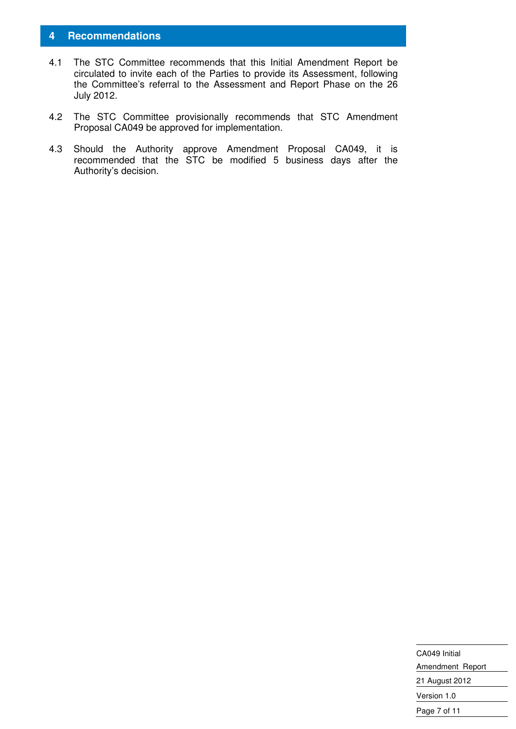# **4 Recommendations**

- 4.1 The STC Committee recommends that this Initial Amendment Report be circulated to invite each of the Parties to provide its Assessment, following the Committee's referral to the Assessment and Report Phase on the 26 July 2012.
- 4.2 The STC Committee provisionally recommends that STC Amendment Proposal CA049 be approved for implementation.
- 4.3 Should the Authority approve Amendment Proposal CA049, it is recommended that the STC be modified 5 business days after the Authority's decision.

| CA049 Initial    |
|------------------|
| Amendment Report |
| 21 August 2012   |
| Version 1.0      |
| Page 7 of 11     |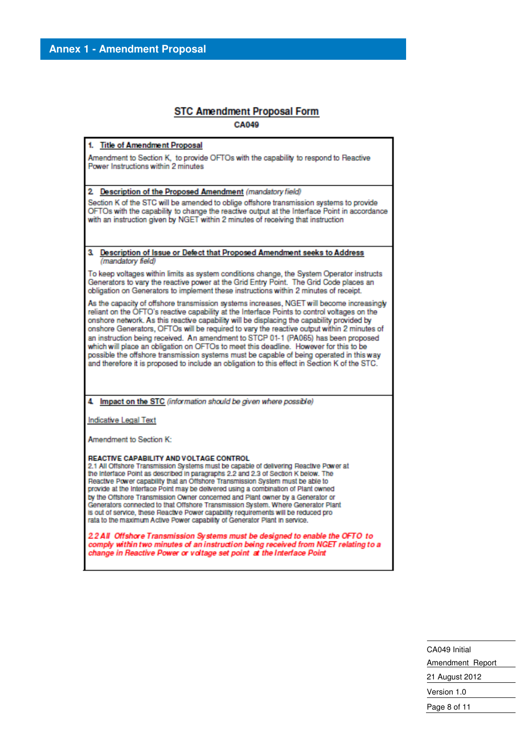#### **STC Amendment Proposal Form CA049**

**Title of Amendment Proposal** 

Amendment to Section K, to provide OFTOs with the capability to respond to Reactive Power Instructions within 2 minutes

2. Description of the Proposed Amendment (mandatory field)

Section K of the STC will be amended to oblige offshore transmission systems to provide OFTOs with the capability to change the reactive output at the Interface Point in accordance with an instruction given by NGET within 2 minutes of receiving that instruction

а Description of Issue or Defect that Proposed Amendment seeks to Address (mandatory field)

To keep voltages within limits as system conditions change, the System Operator instructs Generators to vary the reactive power at the Grid Entry Point. The Grid Code places an obligation on Generators to implement these instructions within 2 minutes of receipt.

As the capacity of offshore transmission systems increases, NGET will become increasingly reliant on the OFTO's reactive capability at the Interface Points to control voltages on the onshore network. As this reactive capability will be displacing the capability provided by onshore Generators, OFTOs will be required to vary the reactive output within 2 minutes of an instruction being received. An amendment to STCP 01-1 (PA065) has been proposed which will place an obligation on OFTOs to meet this deadline. However for this to be possible the offshore transmission systems must be capable of being operated in this way and therefore it is proposed to include an obligation to this effect in Section K of the STC.

4. Impact on the STC (information should be given where possible)

Indicative Legal Text

Amendment to Section K:

#### REACTIVE CAPABILITY AND VOLTAGE CONTROL

2.1 All Offshore Transmission Systems must be capable of delivering Reactive Power at the Interface Point as described in paragraphs 2.2 and 2.3 of Section K below. The Reactive Power capability that an Offshore Transmission System must be able to provide at the Interface Point may be delivered using a combination of Plant owned by the Offshore Transmission Owner concerned and Plant owner by a Generator or Generators connected to that Offshore Transmission System. Where Generator Plant is out of service, these Reactive Power capability requirements will be reduced prorata to the maximum Active Power capability of Generator Plant in service.

2.2 All Offshore Transmission Systems must be designed to enable the OFTO to comply within two minutes of an instruction being received from NGET relating to a change in Reactive Power or voltage set point at the Interface Point

> CA049 Initial Amendment Report 21 August 2012 Version 1.0 Page 8 of 11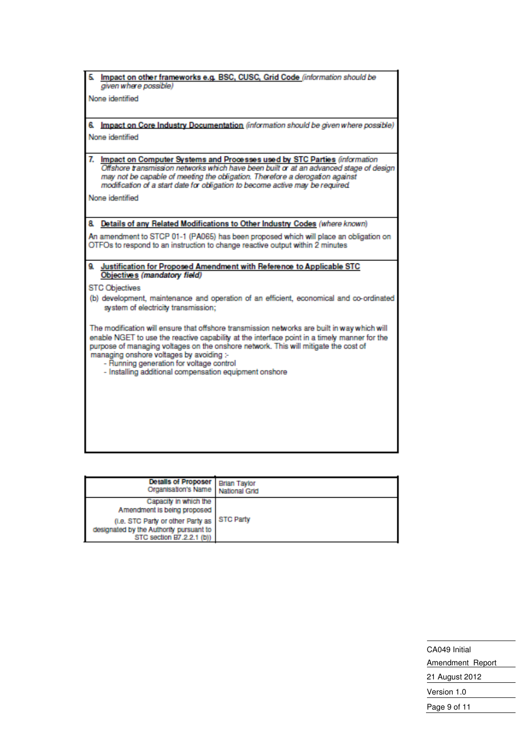| Impact on other frameworks e.g. BSC, CUSC, Grid Code (information should be<br>5.<br>given where possible)                                                                                                                                                                                                                                                                                                                            |
|---------------------------------------------------------------------------------------------------------------------------------------------------------------------------------------------------------------------------------------------------------------------------------------------------------------------------------------------------------------------------------------------------------------------------------------|
| None identified                                                                                                                                                                                                                                                                                                                                                                                                                       |
| 6. Impact on Core Industry Documentation (information should be given where possible)<br>None identified                                                                                                                                                                                                                                                                                                                              |
| 7. Impact on Computer Systems and Processes used by STC Parties (information<br>Offshore transmission networks which have been built or at an advanced stage of design<br>may not be capable of meeting the obligation. Therefore a derogation against<br>modification of a start date for obligation to become active may be required.                                                                                               |
| None identified                                                                                                                                                                                                                                                                                                                                                                                                                       |
| 8. Details of any Related Modifications to Other Industry Codes (where known)                                                                                                                                                                                                                                                                                                                                                         |
| An amendment to STCP 01-1 (PA065) has been proposed which will place an obligation on<br>OTFOs to respond to an instruction to change reactive output within 2 minutes                                                                                                                                                                                                                                                                |
| 9. Justification for Proposed Amendment with Reference to Applicable STC<br>Objectives (mandatory field)                                                                                                                                                                                                                                                                                                                              |
| <b>STC Objectives</b>                                                                                                                                                                                                                                                                                                                                                                                                                 |
| (b) development, maintenance and operation of an efficient, economical and co-ordinated<br>system of electricity transmission;                                                                                                                                                                                                                                                                                                        |
| The modification will ensure that offshore transmission networks are built in way which will<br>enable NGET to use the reactive capability at the interface point in a timely manner for the<br>purpose of managing voltages on the onshore network. This will mitigate the cost of<br>managing onshore voltages by avoiding :-<br>- Running generation for voltage control<br>- Installing additional compensation equipment onshore |
|                                                                                                                                                                                                                                                                                                                                                                                                                                       |
|                                                                                                                                                                                                                                                                                                                                                                                                                                       |
|                                                                                                                                                                                                                                                                                                                                                                                                                                       |

| Details of Proposer Brian Taylor<br>Organisation's Name National Grid                                     |                  |
|-----------------------------------------------------------------------------------------------------------|------------------|
| Capacity in which the<br>Amendment is being proposed                                                      |                  |
| (i.e. STC Party or other Party as<br>designated by the Authority pursuant to<br>STC section B7.2.2.1 (b)) | <b>STC Party</b> |

CA049 Initial Amendment Report 21 August 2012 Version 1.0 Page 9 of 11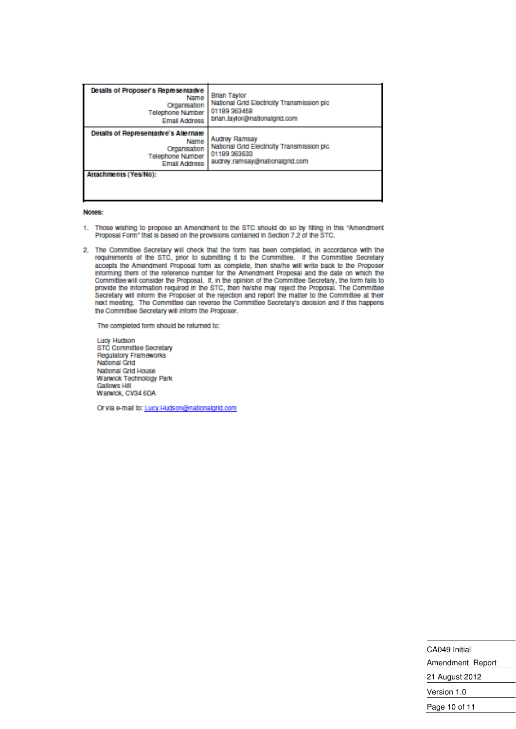| Details of Proposer's Representative<br>Name<br>Organisation<br><b>Telephone Number</b><br><b>Email Address</b>  | <b>Brian Taylor</b><br>National Grid Electricity Transmission pic<br>01189 363458<br>brian.taylor@nationalgrid.com   |
|------------------------------------------------------------------------------------------------------------------|----------------------------------------------------------------------------------------------------------------------|
| Details of Representative's Alternate<br>Name<br>Organisation<br><b>Telephone Number</b><br><b>Email Address</b> | <b>Audrey Ramsay</b><br>National Grid Electricity Transmission pic<br>01189 363633<br>audrey.ramsay@nationalgrid.com |
| Attachments (Yes/No):                                                                                            |                                                                                                                      |

#### Notes:

- 1. Those wishing to propose an Amendment to the STC should do so by filling in this "Amendment Proposal Form" that is based on the provisions contained in Section 7.2 of the STC.
- 2. The Committee Secretary will check that the form has been completed, in accordance with the requirements of the STC, prior to submitting it to the Committee. If the Committee Secretary accepts the Amendment Proposal form as complete, then she/he will write back to the Proposer informing them of the reference number for the Amendment Proposal and the date on which the Committee will consider the Proposal. If, in the opinion of the Committee Secretary, the form fails to provide the information required in the STC, then hayshe may reject the Proposal. The Committee<br>Secretary will inform the Proposer of the rejection and report the matter to the Committee at their next meeting. The Committee can reverse the Committee Secretary's decision and if this happens the Committee Secretary will inform the Proposer.

The completed form should be returned to:

Lucy Hudson STC Committee Secretary **Regulatory Frameworks** National Grid National Grid House **Warwick Technology Park Gallows Hill** Warwick, CV34 6DA

Or via e-mail to: Lucy.Hudson@nationalgrid.com

| CA049 Initial    |
|------------------|
| Amendment Report |
| 21 August 2012   |
| Version 1.0      |
| Page 10 of 11    |